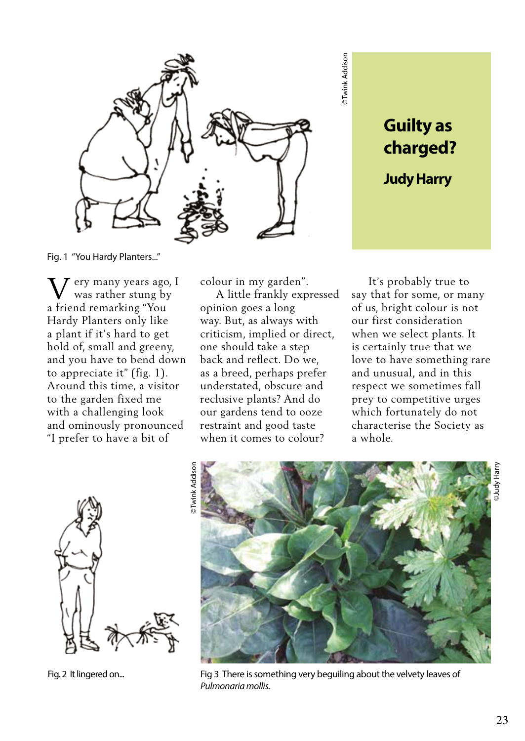

Fig. 1 "You Hardy Planters..."

V a friend remarking "You ery many years ago, I was rather stung by Hardy Planters only like a plant if it's hard to get hold of, small and greeny, and you have to bend down to appreciate it" (fig. 1). Around this time, a visitor to the garden fixed me with a challenging look and ominously pronounced "I prefer to have a bit of

colour in my garden".

 A little frankly expressed opinion goes a long way. But, as always with criticism, implied or direct, one should take a step back and reflect. Do we, as a breed, perhaps prefer understated, obscure and reclusive plants? And do our gardens tend to ooze restraint and good taste when it comes to colour?

 It's probably true to say that for some, or many of us, bright colour is not our first consideration when we select plants. It is certainly true that we love to have something rare and unusual, and in this respect we sometimes fall prey to competitive urges which fortunately do not characterise the Society as a whole.

**Guilty as charged?** 

**Judy Harry** 



Fig. 2 It lingered on...



©Twink Addison

Twink Addison

Fig 3 There is something very beguiling about the velvety leaves of *Pulmonaria mollis.*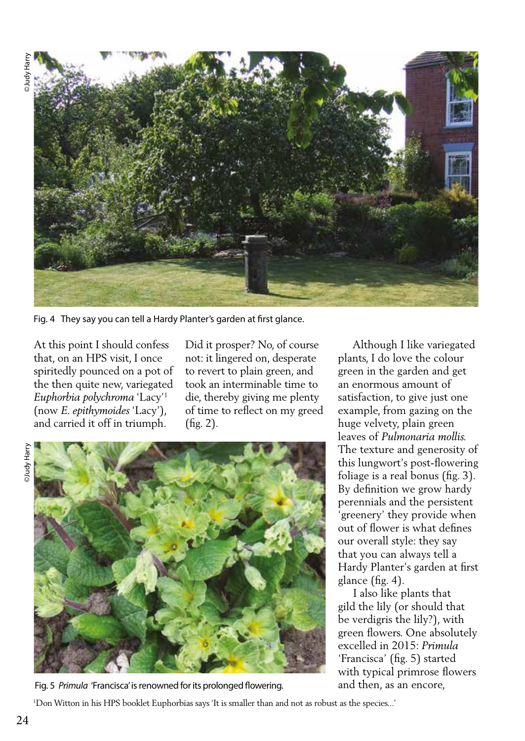

Fig. 4 They say you can tell a Hardy Planter's garden at first glance.

At this point I should confess that, on an HPS visit, I once spiritedly pounced on a pot of the then quite new, variegated *Euphorbia polychroma* 'Lacy'1 (now *E. epithymoides* 'Lacy'), and carried it off in triumph.

Did it prosper? No, of course not: it lingered on, desperate to revert to plain green, and took an interminable time to die, thereby giving me plenty of time to reflect on my greed (fig. 2).

DJudy Harry



Fig. 5 *Primula* 'Francisca' is renowned for its prolonged flowering.

 Although I like variegated plants, I do love the colour green in the garden and get an enormous amount of satisfaction, to give just one example, from gazing on the huge velvety, plain green leaves of *Pulmonaria mollis.* The texture and generosity of this lungwort's post-flowering foliage is a real bonus (fig. 3). By definition we grow hardy perennials and the persistent 'greenery' they provide when out of flower is what defines our overall style: they say that you can always tell a Hardy Planter's garden at first glance (fig. 4).

 I also like plants that gild the lily (or should that be verdigris the lily?), with green flowers. One absolutely excelled in 2015: *Primula* 'Francisca' (fig. 5) started with typical primrose flowers and then, as an encore,

1 Don Witton in his HPS booklet Euphorbias says 'It is smaller than and not as robust as the species...'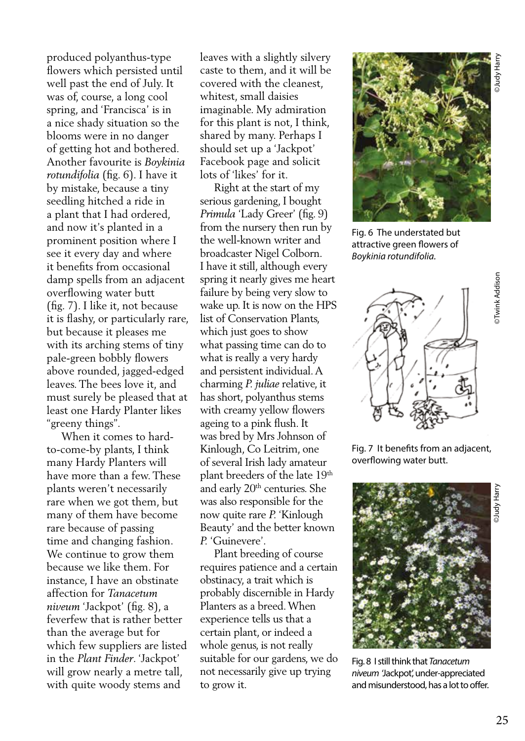produced polyanthus-type flowers which persisted until well past the end of July. It was of, course, a long cool spring, and 'Francisca' is in a nice shady situation so the blooms were in no danger of getting hot and bothered. Another favourite is *Boykinia rotundifolia* (fig. 6). I have it by mistake, because a tiny seedling hitched a ride in a plant that I had ordered, and now it's planted in a prominent position where I see it every day and where it benefits from occasional damp spells from an adjacent overflowing water butt (fig. 7). I like it, not because it is flashy, or particularly rare, but because it pleases me with its arching stems of tiny pale-green bobbly flowers above rounded, jagged-edged leaves. The bees love it, and must surely be pleased that at least one Hardy Planter likes "greeny things".

 When it comes to hardto-come-by plants, I think many Hardy Planters will have more than a few. These plants weren't necessarily rare when we got them, but many of them have become rare because of passing time and changing fashion. We continue to grow them because we like them. For instance, I have an obstinate affection for *Tanacetum niveum* 'Jackpot' (fig. 8), a feverfew that is rather better than the average but for which few suppliers are listed in the *Plant Finder*. 'Jackpot' will grow nearly a metre tall, with quite woody stems and

leaves with a slightly silvery caste to them, and it will be covered with the cleanest, whitest, small daisies imaginable. My admiration for this plant is not, I think, shared by many. Perhaps I should set up a 'Jackpot' Facebook page and solicit lots of 'likes' for it.

 Right at the start of my serious gardening, I bought *Primula* 'Lady Greer' (fig. 9) from the nursery then run by the well-known writer and broadcaster Nigel Colborn. I have it still, although every spring it nearly gives me heart failure by being very slow to wake up. It is now on the HPS list of Conservation Plants, which just goes to show what passing time can do to what is really a very hardy and persistent individual. A charming *P. juliae* relative, it has short, polyanthus stems with creamy yellow flowers ageing to a pink flush. It was bred by Mrs Johnson of Kinlough, Co Leitrim, one of several Irish lady amateur plant breeders of the late 19th and early 20th centuries. She was also responsible for the now quite rare *P.* 'Kinlough Beauty' and the better known *P.* 'Guinevere'.

 Plant breeding of course requires patience and a certain obstinacy, a trait which is probably discernible in Hardy Planters as a breed. When experience tells us that a certain plant, or indeed a whole genus, is not really suitable for our gardens, we do not necessarily give up trying to grow it.



Fig. 6 The understated but attractive green flowers of *Boykinia rotundifolia.*



Fig. 7 It benefits from an adjacent, overflowing water butt.



Fig. 8 I still think that *Tanacetum niveum* 'Jackpot', under-appreciated and misunderstood, has a lot to offer.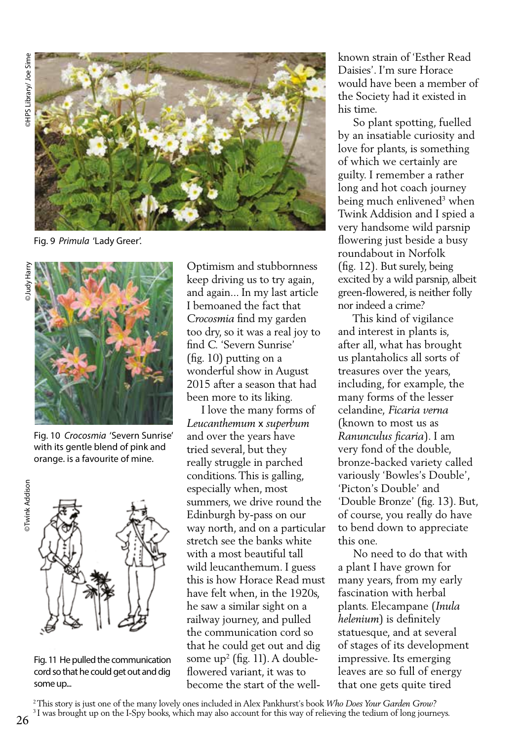

Fig. 9 *Primula* 'Lady Greer'.



Fig. 10 *Crocosmia* 'Severn Sunrise' with its gentle blend of pink and orange. is a favourite of mine.



Fig. 11 He pulled the communication cord so that he could get out and dig some up...

Optimism and stubbornness keep driving us to try again, and again... In my last article I bemoaned the fact that *Crocosmia* find my garden too dry, so it was a real joy to find *C.* 'Severn Sunrise' (fig. 10) putting on a wonderful show in August 2015 after a season that had been more to its liking.

 I love the many forms of *Leucanthemum* x *superbum* and over the years have tried several, but they really struggle in parched conditions. This is galling, especially when, most summers, we drive round the Edinburgh by-pass on our way north, and on a particular stretch see the banks white with a most beautiful tall wild leucanthemum. I guess this is how Horace Read must have felt when, in the 1920s, he saw a similar sight on a railway journey, and pulled the communication cord so that he could get out and dig some up2 (fig. 11). A doubleflowered variant, it was to become the start of the wellknown strain of 'Esther Read Daisies'. I'm sure Horace would have been a member of the Society had it existed in his time.

 So plant spotting, fuelled by an insatiable curiosity and love for plants, is something of which we certainly are guilty. I remember a rather long and hot coach journey being much enlivened<sup>3</sup> when Twink Addision and I spied a very handsome wild parsnip flowering just beside a busy roundabout in Norfolk (fig. 12). But surely, being excited by a wild parsnip, albeit green-flowered, is neither folly nor indeed a crime?

 This kind of vigilance and interest in plants is, after all, what has brought us plantaholics all sorts of treasures over the years, including, for example, the many forms of the lesser celandine, *Ficaria verna* (known to most us as *Ranunculus ficaria*). I am very fond of the double, bronze-backed variety called variously 'Bowles's Double', 'Picton's Double' and 'Double Bronze' (fig. 13). But, of course, you really do have to bend down to appreciate this one.

 No need to do that with a plant I have grown for many years, from my early fascination with herbal plants. Elecampane (*Inula helenium*) is definitely statuesque, and at several of stages of its development impressive. Its emerging leaves are so full of energy that one gets quite tired

2 This story is just one of the many lovely ones included in Alex Pankhurst's book *Who Does Your Garden Grow?* <sup>3</sup> I was brought up on the I-Spy books, which may also account for this way of relieving the tedium of long journeys.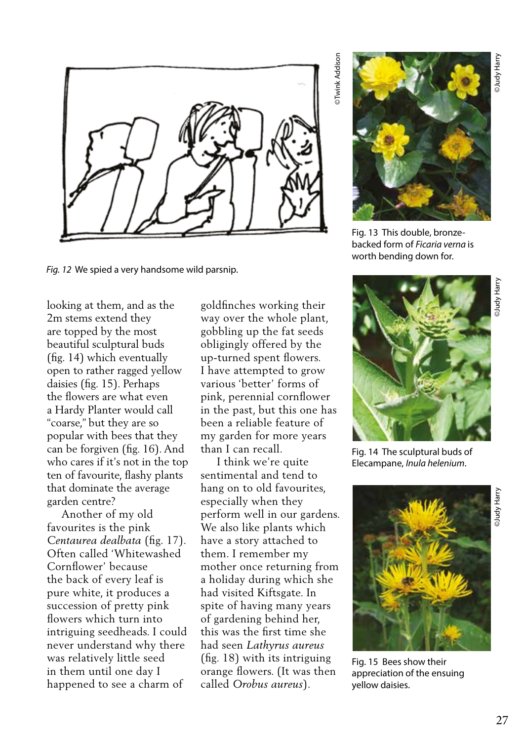

*Fig. 12* We spied a very handsome wild parsnip.

looking at them, and as the 2m stems extend they are topped by the most beautiful sculptural buds (fig. 14) which eventually open to rather ragged yellow daisies (fig. 15). Perhaps the flowers are what even a Hardy Planter would call "coarse," but they are so popular with bees that they can be forgiven (fig. 16). And who cares if it's not in the top ten of favourite, flashy plants that dominate the average garden centre?

 Another of my old favourites is the pink *Centaurea dealbata* (fig. 17). Often called 'Whitewashed Cornflower' because the back of every leaf is pure white, it produces a succession of pretty pink flowers which turn into intriguing seedheads. I could never understand why there was relatively little seed in them until one day I happened to see a charm of

goldfinches working their way over the whole plant, gobbling up the fat seeds obligingly offered by the up-turned spent flowers. I have attempted to grow various 'better' forms of pink, perennial cornflower in the past, but this one has been a reliable feature of my garden for more years than I can recall.

 I think we're quite sentimental and tend to hang on to old favourites, especially when they perform well in our gardens. We also like plants which have a story attached to them. I remember my mother once returning from a holiday during which she had visited Kiftsgate. In spite of having many years of gardening behind her, this was the first time she had seen *Lathyrus aureus* (fig. 18) with its intriguing orange flowers. (It was then called *Orobus aureus*).

Twink Addison ©Twink Addison



Fig. 13 This double, bronzebacked form of *Ficaria verna* is worth bending down for.



Fig. 14 The sculptural buds of Elecampane, *Inula helenium*.



Fig. 15 Bees show their appreciation of the ensuing yellow daisies.

DJudy Harry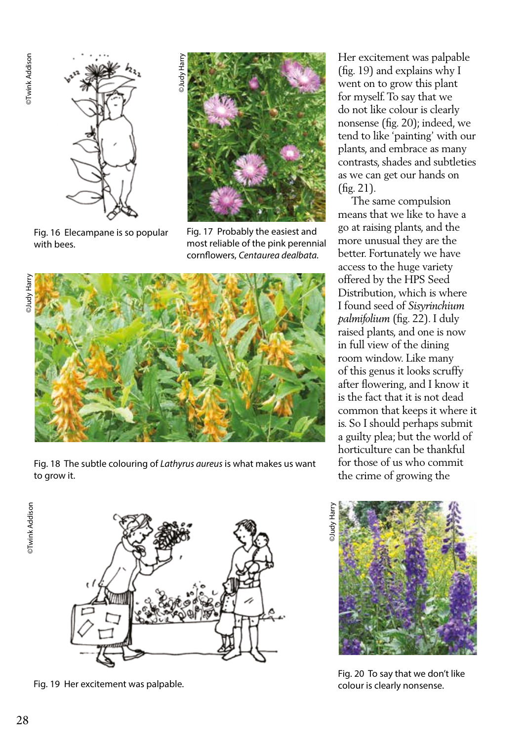

Fig. 16 Elecampane is so popular with bees.



Fig. 17 Probably the easiest and most reliable of the pink perennial cornflowers, *Centaurea dealbata.*



Fig. 18 The subtle colouring of *Lathyrus aureus* is what makes us want to grow it.

**DTwink Addison** ©Twink Addison



Fig. 19 Her excitement was palpable.

Her excitement was palpable (fig. 19) and explains why I went on to grow this plant for myself. To say that we do not like colour is clearly nonsense (fig. 20); indeed, we tend to like 'painting' with our plants, and embrace as many contrasts, shades and subtleties as we can get our hands on (fig. 21).

 The same compulsion means that we like to have a go at raising plants, and the more unusual they are the better. Fortunately we have access to the huge variety offered by the HPS Seed Distribution, which is where I found seed of *Sisyrinchium palmifolium* (fig. 22). I duly raised plants, and one is now in full view of the dining room window. Like many of this genus it looks scruffy after flowering, and I know it is the fact that it is not dead common that keeps it where it is. So I should perhaps submit a guilty plea; but the world of horticulture can be thankful for those of us who commit the crime of growing the



Fig. 20 To say that we don't like colour is clearly nonsense.